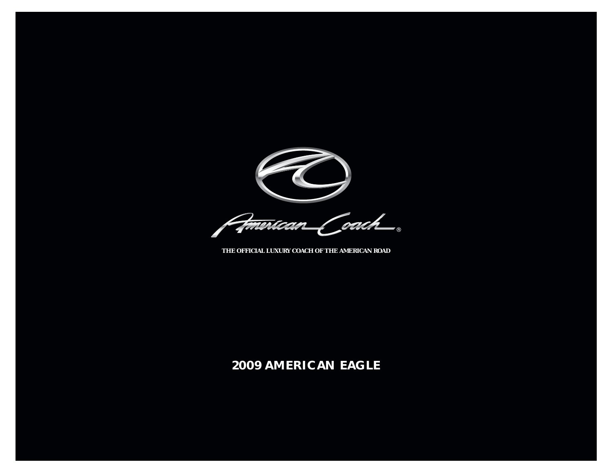

Pimerican Coach

 **THE OFFICIAL LUXURY COACH OF THE AMERICAN ROAD**

# **2009 AMERICAN EAGLE**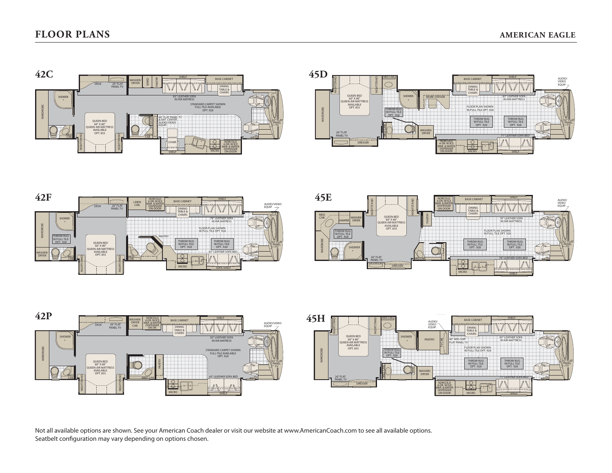









 Not all available options are shown. See your American Coach dealer or visit our website at www.AmericanCoach.com to see all available options. Seatbelt configuration may vary depending on options chosen.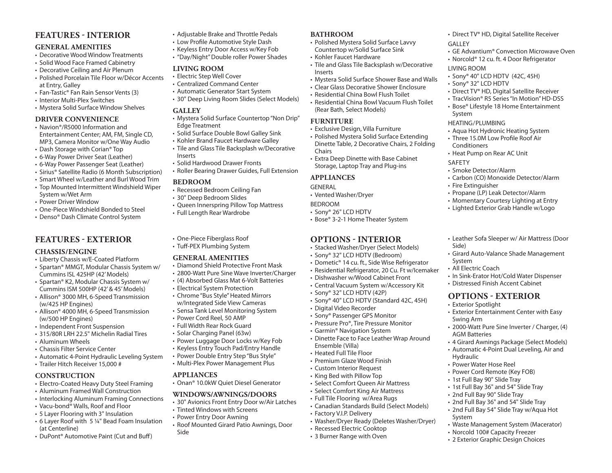### **FEATURES INTERIOR**

#### **GENERAL AMENITIES**

- Decorative Wood Window Treatments
- Solid Wood Face Framed Cabinetry
- Decorative Ceiling and Air Plenum
- Polished Porcelain Tile Floor w/Décor Accents at Entry, Galley
- Fan-Tastic® Fan Rain Sensor Vents (3)
- Interior Multi-Plex Switches
- Mystera Solid Surface Window Shelves

#### **DRIVER CONVENIENCE**

- Navion®/R5000 Information and Entertainment Center; AM, FM, Single CD, MP3, Camera Monitor w/One Way Audio
- Dash Storage with Corian® Top
- 6-Way Power Driver Seat (Leather)
- 6-Way Power Passenger Seat (Leather)
- Sirius® Satellite Radio (6 Month Subscription)
- Smart Wheel w/Leather and Burl Wood Trim
- Top Mounted Intermittent Windshield Wiper System w/Wet Arm
- Power Driver Window
- One-Piece Windshield Bonded to Steel
- Denso® Dash Climate Control System

# **FEATURES EXTERIOR**

#### **CHASSIS/ENGINE**

- Liberty Chassis w/E-Coated Platform
- Spartan® MMGT, Modular Chassis System w/ Cummins ISL 425HP (42' Models)
- Spartan® K2, Modular Chassis System w/ Cummins ISM 500HP (42' & 45' Models)
- Allison® 3000 MH, 6-Speed Transmission (w/425 HP Engines)
- Allison® 4000 MH, 6-Speed Transmission (w/500 HP Engines)
- Independent Front Suspension
- 315/80R LRH 22.5" Michelin Radial Tires
- Aluminum Wheels
- Chassis Filter Service Center
- Automatic 4-Point Hydraulic Leveling System
- Trailer Hitch Receiver 15,000 #

#### **CONSTRUCTION**

- Electro-Coated Heavy Duty Steel Framing
- Aluminum Framed Wall Construction
- Interlocking Aluminum Framing Connections
- Vacu-bond® Walls, Roof and Floor
- 5 Layer Flooring with 3" Insulation
- 6 Layer Roof with 5 ¼" Bead Foam Insulation (at Centerline)
- DuPont® Automotive Paint (Cut and Buff )
- Adjustable Brake and Throttle Pedals
- Low Profile Automotive Style Dash
- Keyless Entry Door Access w/Key Fob
- "Day/Night" Double roller Power Shades

#### **LIVING ROOM**

- Electric Step Well Cover
- Centralized Command Center
- Automatic Generator Start System
- 30" Deep Living Room Slides (Select Models)

#### **GALLEY**

- Mystera Solid Surface Countertop "Non Drip" Edge Treatment
- Solid Surface Double Bowl Galley Sink
- Kohler Brand Faucet Hardware Galley
- Tile and Glass Tile Backsplash w/Decorative Inserts
- Solid Hardwood Drawer Fronts
- Roller Bearing Drawer Guides, Full Extension

#### **BEDROOM**

- Recessed Bedroom Ceiling Fan
- 30" Deep Bedroom Slides
- Queen Innerspring Pillow Top Mattress
- Full Length Rear Wardrobe
- One-Piece Fiberglass Roof
- Tuff-PEX Plumbing System

#### **GENERAL AMENITIES**

- Diamond Shield Protective Front Mask
- 2800-Watt Pure Sine Wave Inverter/Charger
- (4) Absorbed Glass Mat 6-Volt Batteries
- Electrical System Protection
- Chrome "Bus Style" Heated Mirrors w/Integrated Side View Cameras
- Sensa Tank Level Monitoring System
- Power Cord Reel, 50 AMP
- Full Width Rear Rock Guard
- Solar Charging Panel (63w)
- Power Luggage Door Locks w/Key Fob
- Keyless Entry Touch Pad/Entry Handle
- Power Double Entry Step "Bus Style"
- Multi-Plex Power Management Plus

#### **APPLIANCES**

• Onan® 10.0kW Quiet Diesel Generator

#### **WINDOWS/AWNINGS/DOORS**

- 30" Avionics Front Entry Door w/Air Latches
- Tinted Windows with Screens
- Power Entry Door Awning
- Roof Mounted Girard Patio Awnings, Door Side

#### **BATHROOM**

- Polished Mystera Solid Surface Lavvy Countertop w/Solid Surface Sink
- Kohler Faucet Hardware
- Tile and Glass Tile Backsplash w/Decorative Inserts

• Direct TV® HD, Digital Satellite Receiver

• Direct TV® HD, Digital Satellite Receiver • TracVision® R5 Series "In Motion" HD-DSS• Bose® Lifestyle 18 Home Entertainment

• Aqua Hot Hydronic Heating System • Three 15.0M Low Profile Roof Air

• Carbon (CO) Monoxide Detector/Alarm

• Leather Sofa Sleeper w/ Air Mattress (Door

• Girard Auto-Valance Shade Management

 • In Sink-Erator Hot/Cold Water Dispenser • Distressed Finish Accent Cabinet**OPTIONS EXTERIOR**

• Exterior Entertainment Center with Easy

• 2000-Watt Pure Sine Inverter / Charger, (4)

• 4 Girard Awnings Package (Select Models) • Automatic 4-Point Dual Leveling, Air and

• Waste Management System (Macerator)

• Norcold 100# Capacity Freezer • 2 Exterior Graphic Design Choices

• Propane (LP) Leak Detector/Alarm • Momentary Courtesy Lighting at Entry • Lighted Exterior Grab Handle w/Logo

• Heat Pump on Rear AC Unit

• Smoke Detector/Alarm

• Sony® 40" LCD HDTV (42C, 45H)

• GE Advantium® Convection Microwave Oven • Norcold® 12 cu. ft. 4 Door Refrigerator

GALLEY

LIVING ROOM

System

SAFETY

Side)

System • All Electric Coach

• Exterior Spotlight

Swing Arm

Hydraulic

System

AGM Batteries

• Power Water Hose Reel• Power Cord Remote (Key FOB) • 1st Full Bay 90" Slide Tray • 1st Full Bay 36" and 54" Slide Tray • 2nd Full Bay 90" Slide Tray • 2nd Full Bay 36" and 54" Slide Tray • 2nd Full Bay 54" Slide Tray w/Aqua Hot

• Sony® 32" LCD HDTV

HEATING/PLUMBING

Conditioners

• Fire Extinguisher

- Mystera Solid Surface Shower Base and Walls
- Clear Glass Decorative Shower Enclosure
- Residential China Bowl Flush Toilet
- Residential China Bowl Vacuum Flush Toilet (Rear Bath, Select Models)

#### **FURNITURE**

- Exclusive Design, Villa Furniture
- Polished Mystera Solid Surface Extending Dinette Table, 2 Decorative Chairs, 2 Folding Chairs
- Extra Deep Dinette with Base Cabinet Storage, Laptop Tray and Plug-ins

• Bose® 3-2-1 Home Theater System

**OPTIONS INTERIOR**• Stacked Washer/Dryer (Select Models) • Sony® 32" LCD HDTV (Bedroom) • Dometic® 14 cu. ft., Side Wise Refrigerator • Residential Refrigerator, 20 Cu. Ft w/Icemaker

• Dishwasher w/Wood Cabinet Front • Central Vacuum System w/Accessory Kit

• Sony® 40" LCD HDTV (Standard 42C, 45H)

• Dinette Face to Face Leather Wrap Around

• Select Comfort Queen Air Mattress • Select Comfort King Air Mattress • Full Tile Flooring w/Area Rugs

• Canadian Standards Build (Select Models)

• Washer/Dryer Ready (Deletes Washer/Dryer)

• Sony® 32" LCD HDTV (42P)

• Digital Video Recorder • Sony® Passenger GPS Monitor • Pressure Pro®, Tire Pressure Monitor • Garmin® Navigation System

Ensemble (Villa) • Heated Full Tile Floor • Premium Glaze Wood Finish• Custom Interior Request • King Bed with Pillow Top

• Factory V.I.P. Delivery

• Recessed Electric Cooktop • 3 Burner Range with Oven

#### **APPLIANCES**

BEDROOM

- GENERAL
- Vented Washer/Dryer

• Sony® 26" LCD HDTV